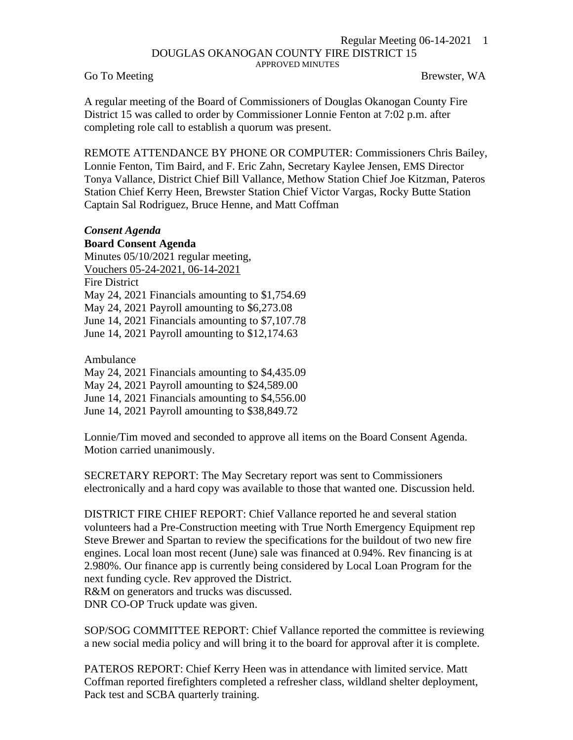## Regular Meeting 06-14-2021 1 DOUGLAS OKANOGAN COUNTY FIRE DISTRICT 15 APPROVED MINUTES

Go To Meeting Brewster, WA

A regular meeting of the Board of Commissioners of Douglas Okanogan County Fire District 15 was called to order by Commissioner Lonnie Fenton at 7:02 p.m. after completing role call to establish a quorum was present.

REMOTE ATTENDANCE BY PHONE OR COMPUTER: Commissioners Chris Bailey, Lonnie Fenton, Tim Baird, and F. Eric Zahn, Secretary Kaylee Jensen, EMS Director Tonya Vallance, District Chief Bill Vallance, Methow Station Chief Joe Kitzman, Pateros Station Chief Kerry Heen, Brewster Station Chief Victor Vargas, Rocky Butte Station Captain Sal Rodriguez, Bruce Henne, and Matt Coffman

## *Consent Agenda*

**Board Consent Agenda** Minutes 05/10/2021 regular meeting, Vouchers 05-24-2021, 06-14-2021 Fire District May 24, 2021 Financials amounting to \$1,754.69 May 24, 2021 Payroll amounting to \$6,273.08 June 14, 2021 Financials amounting to \$7,107.78 June 14, 2021 Payroll amounting to \$12,174.63

Ambulance

May 24, 2021 Financials amounting to \$4,435.09

May 24, 2021 Payroll amounting to \$24,589.00

June 14, 2021 Financials amounting to \$4,556.00

June 14, 2021 Payroll amounting to \$38,849.72

Lonnie/Tim moved and seconded to approve all items on the Board Consent Agenda. Motion carried unanimously.

SECRETARY REPORT: The May Secretary report was sent to Commissioners electronically and a hard copy was available to those that wanted one. Discussion held.

DISTRICT FIRE CHIEF REPORT: Chief Vallance reported he and several station volunteers had a Pre-Construction meeting with True North Emergency Equipment rep Steve Brewer and Spartan to review the specifications for the buildout of two new fire engines. Local loan most recent (June) sale was financed at 0.94%. Rev financing is at 2.980%. Our finance app is currently being considered by Local Loan Program for the next funding cycle. Rev approved the District. R&M on generators and trucks was discussed.

DNR CO-OP Truck update was given.

SOP/SOG COMMITTEE REPORT: Chief Vallance reported the committee is reviewing a new social media policy and will bring it to the board for approval after it is complete.

PATEROS REPORT: Chief Kerry Heen was in attendance with limited service. Matt Coffman reported firefighters completed a refresher class, wildland shelter deployment, Pack test and SCBA quarterly training.